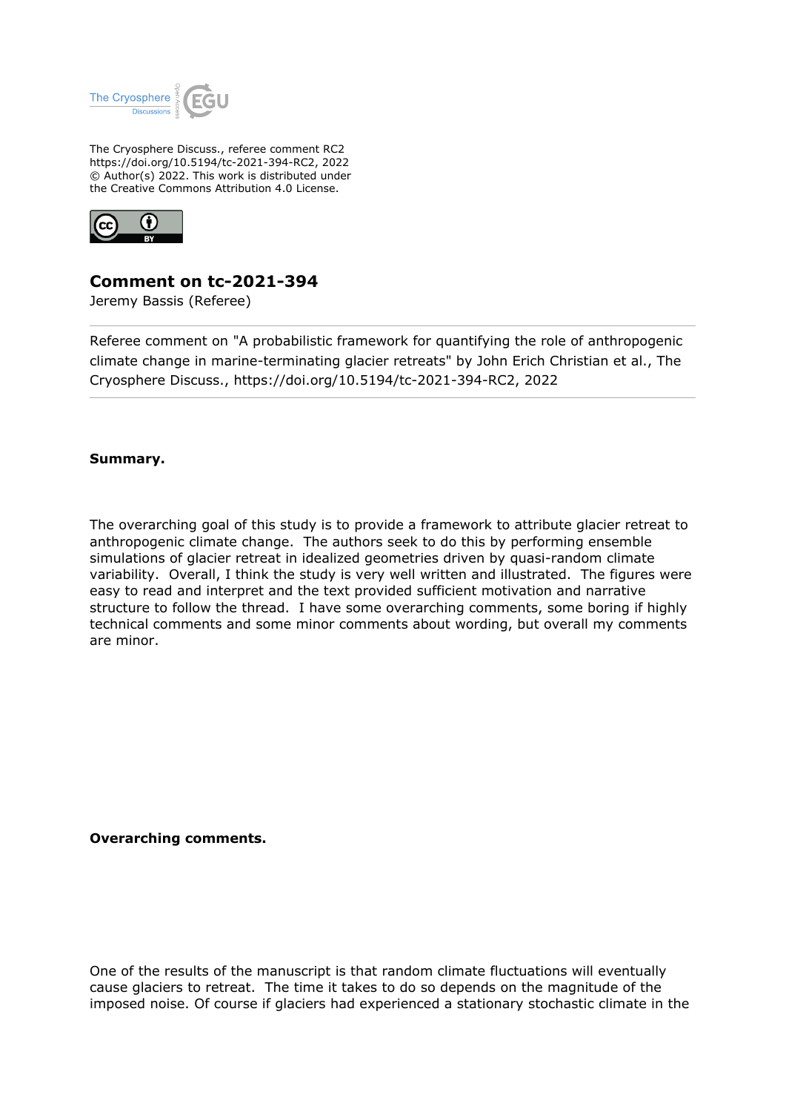

The Cryosphere Discuss., referee comment RC2 https://doi.org/10.5194/tc-2021-394-RC2, 2022 © Author(s) 2022. This work is distributed under the Creative Commons Attribution 4.0 License.



## **Comment on tc-2021-394**

Jeremy Bassis (Referee)

Referee comment on "A probabilistic framework for quantifying the role of anthropogenic climate change in marine-terminating glacier retreats" by John Erich Christian et al., The Cryosphere Discuss., https://doi.org/10.5194/tc-2021-394-RC2, 2022

## **Summary.**

The overarching goal of this study is to provide a framework to attribute glacier retreat to anthropogenic climate change. The authors seek to do this by performing ensemble simulations of glacier retreat in idealized geometries driven by quasi-random climate variability. Overall, I think the study is very well written and illustrated. The figures were easy to read and interpret and the text provided sufficient motivation and narrative structure to follow the thread. I have some overarching comments, some boring if highly technical comments and some minor comments about wording, but overall my comments are minor.

**Overarching comments.**

One of the results of the manuscript is that random climate fluctuations will eventually cause glaciers to retreat. The time it takes to do so depends on the magnitude of the imposed noise. Of course if glaciers had experienced a stationary stochastic climate in the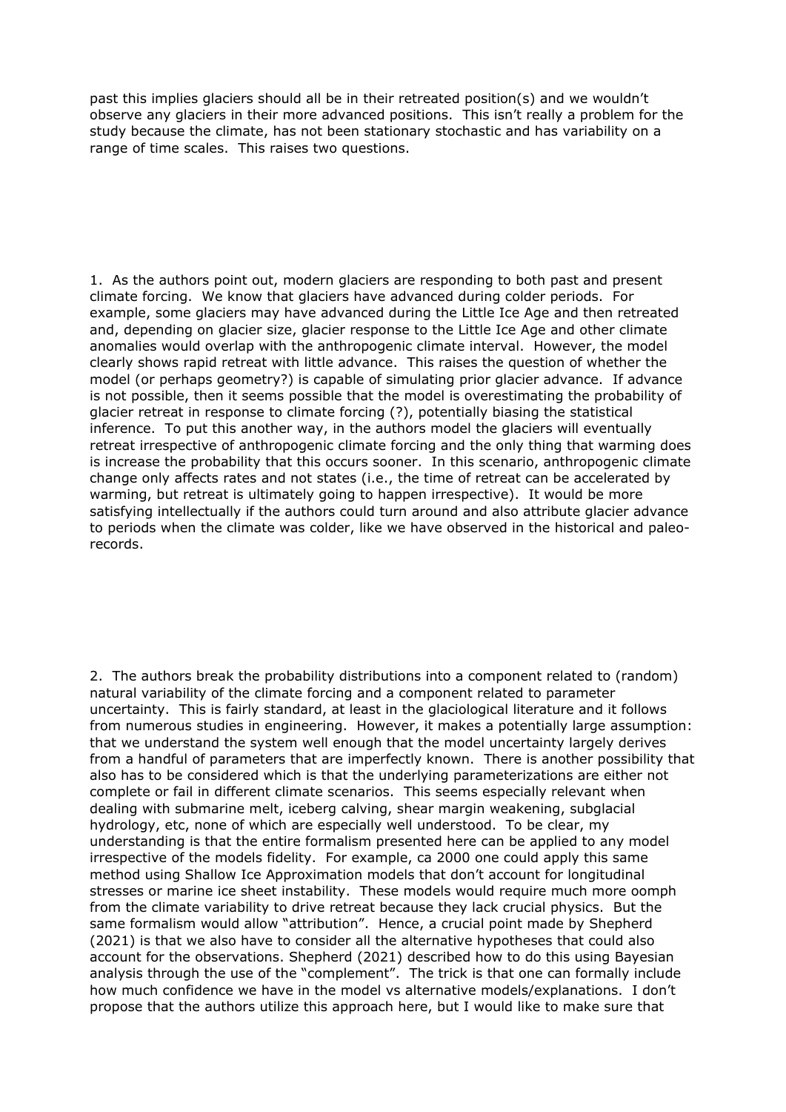past this implies glaciers should all be in their retreated position(s) and we wouldn't observe any glaciers in their more advanced positions. This isn't really a problem for the study because the climate, has not been stationary stochastic and has variability on a range of time scales. This raises two questions.

1. As the authors point out, modern glaciers are responding to both past and present climate forcing. We know that glaciers have advanced during colder periods. For example, some glaciers may have advanced during the Little Ice Age and then retreated and, depending on glacier size, glacier response to the Little Ice Age and other climate anomalies would overlap with the anthropogenic climate interval. However, the model clearly shows rapid retreat with little advance. This raises the question of whether the model (or perhaps geometry?) is capable of simulating prior glacier advance. If advance is not possible, then it seems possible that the model is overestimating the probability of glacier retreat in response to climate forcing (?), potentially biasing the statistical inference. To put this another way, in the authors model the glaciers will eventually retreat irrespective of anthropogenic climate forcing and the only thing that warming does is increase the probability that this occurs sooner. In this scenario, anthropogenic climate change only affects rates and not states (i.e., the time of retreat can be accelerated by warming, but retreat is ultimately going to happen irrespective). It would be more satisfying intellectually if the authors could turn around and also attribute glacier advance to periods when the climate was colder, like we have observed in the historical and paleorecords.

2. The authors break the probability distributions into a component related to (random) natural variability of the climate forcing and a component related to parameter uncertainty. This is fairly standard, at least in the glaciological literature and it follows from numerous studies in engineering. However, it makes a potentially large assumption: that we understand the system well enough that the model uncertainty largely derives from a handful of parameters that are imperfectly known. There is another possibility that also has to be considered which is that the underlying parameterizations are either not complete or fail in different climate scenarios. This seems especially relevant when dealing with submarine melt, iceberg calving, shear margin weakening, subglacial hydrology, etc, none of which are especially well understood. To be clear, my understanding is that the entire formalism presented here can be applied to any model irrespective of the models fidelity. For example, ca 2000 one could apply this same method using Shallow Ice Approximation models that don't account for longitudinal stresses or marine ice sheet instability. These models would require much more oomph from the climate variability to drive retreat because they lack crucial physics. But the same formalism would allow "attribution". Hence, a crucial point made by Shepherd (2021) is that we also have to consider all the alternative hypotheses that could also account for the observations. Shepherd (2021) described how to do this using Bayesian analysis through the use of the "complement". The trick is that one can formally include how much confidence we have in the model vs alternative models/explanations. I don't propose that the authors utilize this approach here, but I would like to make sure that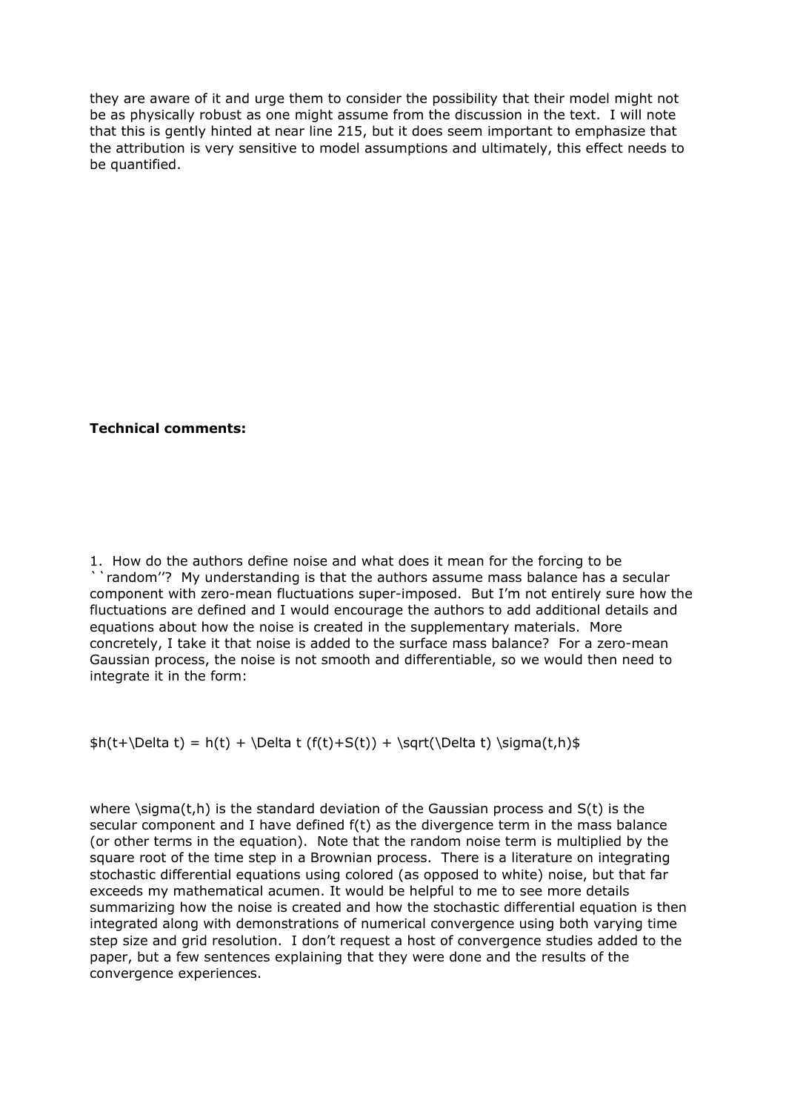they are aware of it and urge them to consider the possibility that their model might not be as physically robust as one might assume from the discussion in the text. I will note that this is gently hinted at near line 215, but it does seem important to emphasize that the attribution is very sensitive to model assumptions and ultimately, this effect needs to be quantified.

## **Technical comments:**

1. How do the authors define noise and what does it mean for the forcing to be ``random''? My understanding is that the authors assume mass balance has a secular component with zero-mean fluctuations super-imposed. But I'm not entirely sure how the fluctuations are defined and I would encourage the authors to add additional details and equations about how the noise is created in the supplementary materials. More concretely, I take it that noise is added to the surface mass balance? For a zero-mean Gaussian process, the noise is not smooth and differentiable, so we would then need to integrate it in the form:

 $\#h(t+\Delta t) = h(t) + \Delta t (f(t)+S(t)) + \sqrt{\Delta t} \sigma(t,h)$ 

where  $\sigma(t,h)$  is the standard deviation of the Gaussian process and  $S(t)$  is the secular component and I have defined f(t) as the divergence term in the mass balance (or other terms in the equation). Note that the random noise term is multiplied by the square root of the time step in a Brownian process. There is a literature on integrating stochastic differential equations using colored (as opposed to white) noise, but that far exceeds my mathematical acumen. It would be helpful to me to see more details summarizing how the noise is created and how the stochastic differential equation is then integrated along with demonstrations of numerical convergence using both varying time step size and grid resolution. I don't request a host of convergence studies added to the paper, but a few sentences explaining that they were done and the results of the convergence experiences.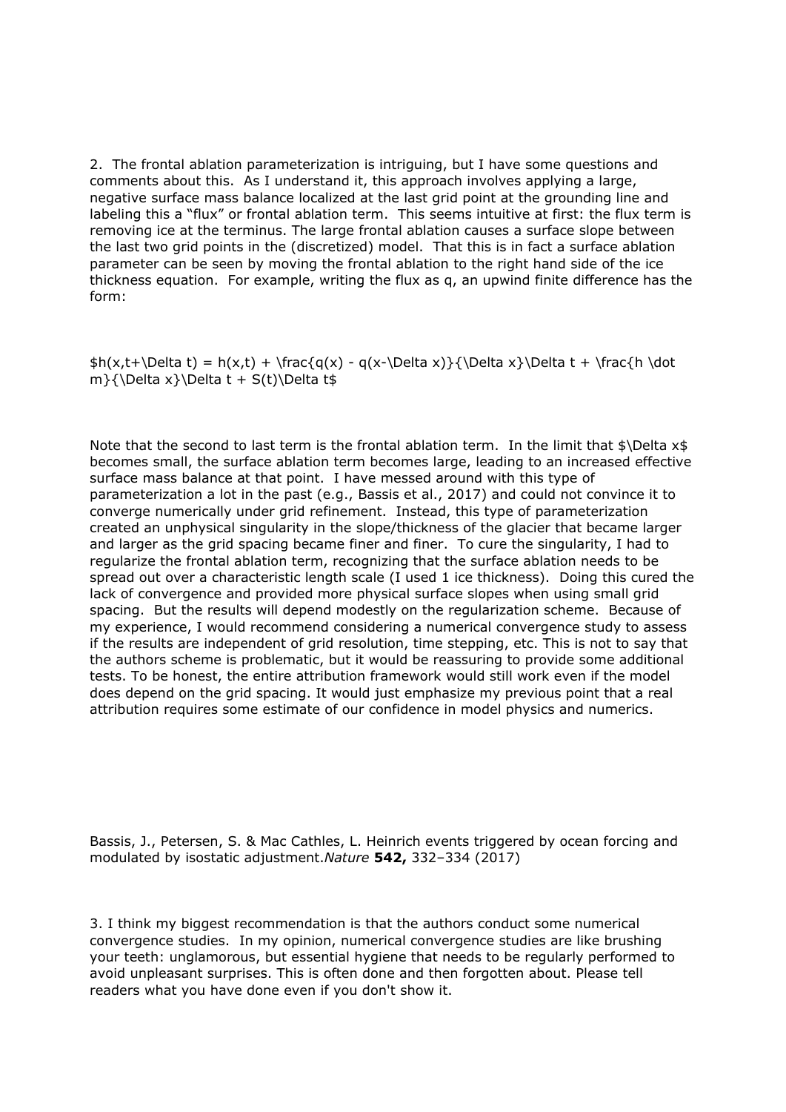2. The frontal ablation parameterization is intriguing, but I have some questions and comments about this. As I understand it, this approach involves applying a large, negative surface mass balance localized at the last grid point at the grounding line and labeling this a "flux" or frontal ablation term. This seems intuitive at first: the flux term is removing ice at the terminus. The large frontal ablation causes a surface slope between the last two grid points in the (discretized) model. That this is in fact a surface ablation parameter can be seen by moving the frontal ablation to the right hand side of the ice thickness equation. For example, writing the flux as q, an upwind finite difference has the form:

 $\frac{h(x,t+\Delta t)}{h(x,t)} = h(x,t) + \frac{q(x) - q(x-\Delta x)}{\Delta x}\Delta t + \frac{h(x,t)}{d\Delta t}$ m}{\Delta x}\Delta t + S(t)\Delta t\$

Note that the second to last term is the frontal ablation term. In the limit that \$\Delta x\$ becomes small, the surface ablation term becomes large, leading to an increased effective surface mass balance at that point. I have messed around with this type of parameterization a lot in the past (e.g., Bassis et al., 2017) and could not convince it to converge numerically under grid refinement. Instead, this type of parameterization created an unphysical singularity in the slope/thickness of the glacier that became larger and larger as the grid spacing became finer and finer. To cure the singularity, I had to regularize the frontal ablation term, recognizing that the surface ablation needs to be spread out over a characteristic length scale (I used 1 ice thickness). Doing this cured the lack of convergence and provided more physical surface slopes when using small grid spacing. But the results will depend modestly on the regularization scheme. Because of my experience, I would recommend considering a numerical convergence study to assess if the results are independent of grid resolution, time stepping, etc. This is not to say that the authors scheme is problematic, but it would be reassuring to provide some additional tests. To be honest, the entire attribution framework would still work even if the model does depend on the grid spacing. It would just emphasize my previous point that a real attribution requires some estimate of our confidence in model physics and numerics.

Bassis, J., Petersen, S. & Mac Cathles, L. Heinrich events triggered by ocean forcing and modulated by isostatic adjustment.*Nature* **542,** 332–334 (2017)

3. I think my biggest recommendation is that the authors conduct some numerical convergence studies. In my opinion, numerical convergence studies are like brushing your teeth: unglamorous, but essential hygiene that needs to be regularly performed to avoid unpleasant surprises. This is often done and then forgotten about. Please tell readers what you have done even if you don't show it.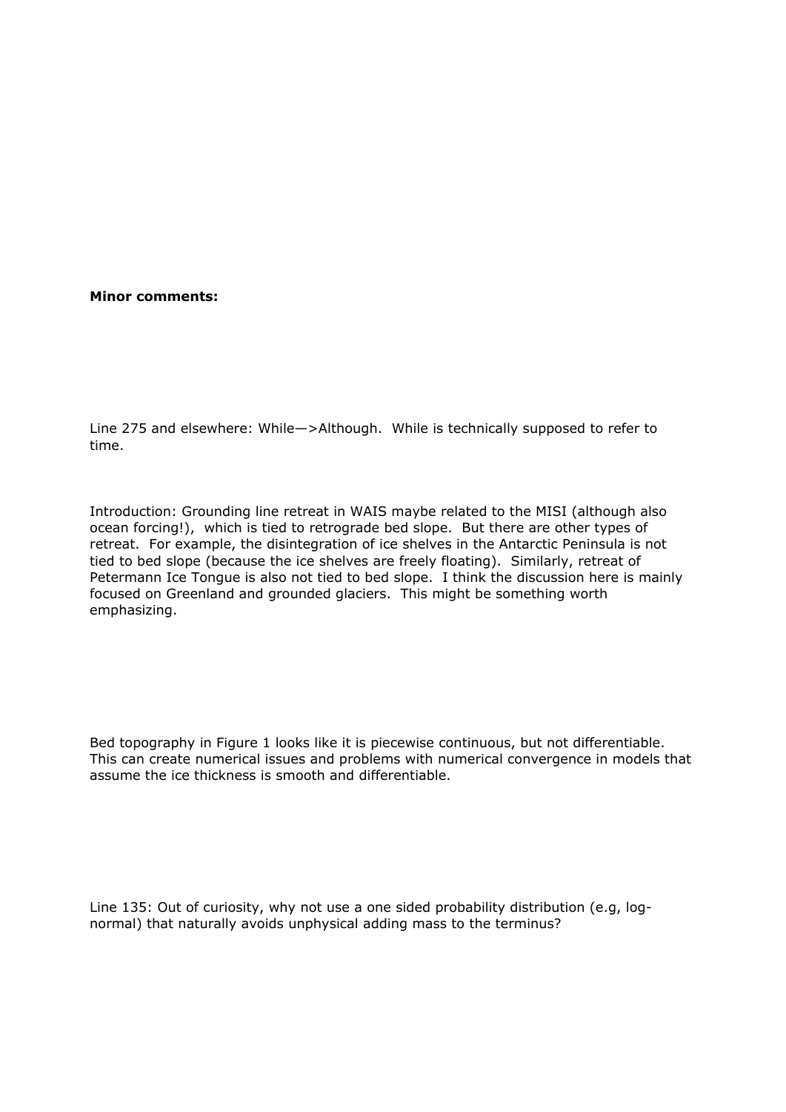## **Minor comments:**

Line 275 and elsewhere: While—>Although. While is technically supposed to refer to time.

Introduction: Grounding line retreat in WAIS maybe related to the MISI (although also ocean forcing!), which is tied to retrograde bed slope. But there are other types of retreat. For example, the disintegration of ice shelves in the Antarctic Peninsula is not tied to bed slope (because the ice shelves are freely floating). Similarly, retreat of Petermann Ice Tongue is also not tied to bed slope. I think the discussion here is mainly focused on Greenland and grounded glaciers. This might be something worth emphasizing.

Bed topography in Figure 1 looks like it is piecewise continuous, but not differentiable. This can create numerical issues and problems with numerical convergence in models that assume the ice thickness is smooth and differentiable.

Line 135: Out of curiosity, why not use a one sided probability distribution (e.g, lognormal) that naturally avoids unphysical adding mass to the terminus?